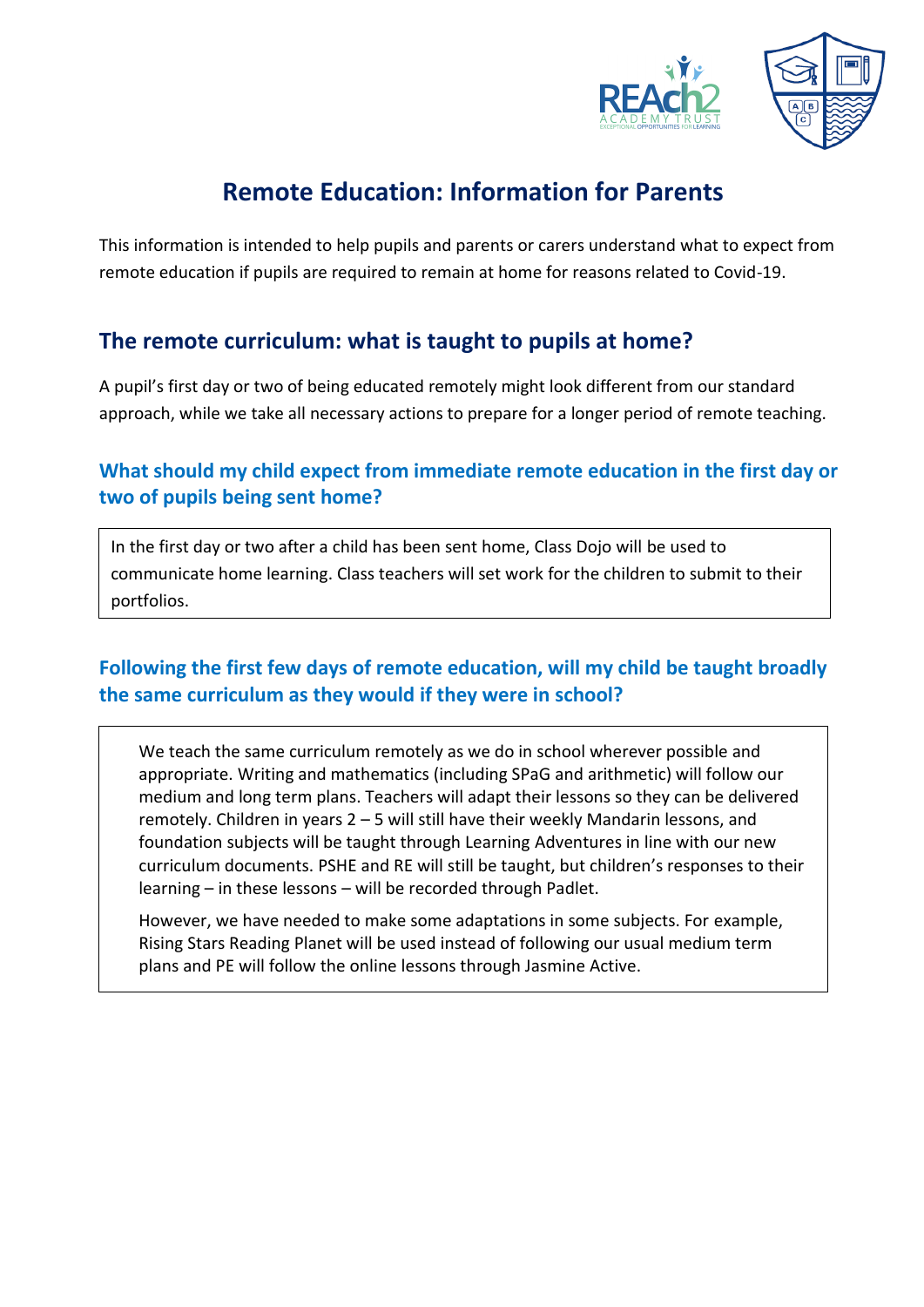



# **Remote Education: Information for Parents**

This information is intended to help pupils and parents or carers understand what to expect from remote education if pupils are required to remain at home for reasons related to Covid-19.

# **The remote curriculum: what is taught to pupils at home?**

A pupil's first day or two of being educated remotely might look different from our standard approach, while we take all necessary actions to prepare for a longer period of remote teaching.

### **What should my child expect from immediate remote education in the first day or two of pupils being sent home?**

In the first day or two after a child has been sent home, Class Dojo will be used to communicate home learning. Class teachers will set work for the children to submit to their portfolios.

## **Following the first few days of remote education, will my child be taught broadly the same curriculum as they would if they were in school?**

We teach the same curriculum remotely as we do in school wherever possible and appropriate. Writing and mathematics (including SPaG and arithmetic) will follow our medium and long term plans. Teachers will adapt their lessons so they can be delivered remotely. Children in years 2 – 5 will still have their weekly Mandarin lessons, and foundation subjects will be taught through Learning Adventures in line with our new curriculum documents. PSHE and RE will still be taught, but children's responses to their learning – in these lessons – will be recorded through Padlet.

However, we have needed to make some adaptations in some subjects. For example, Rising Stars Reading Planet will be used instead of following our usual medium term plans and PE will follow the online lessons through Jasmine Active.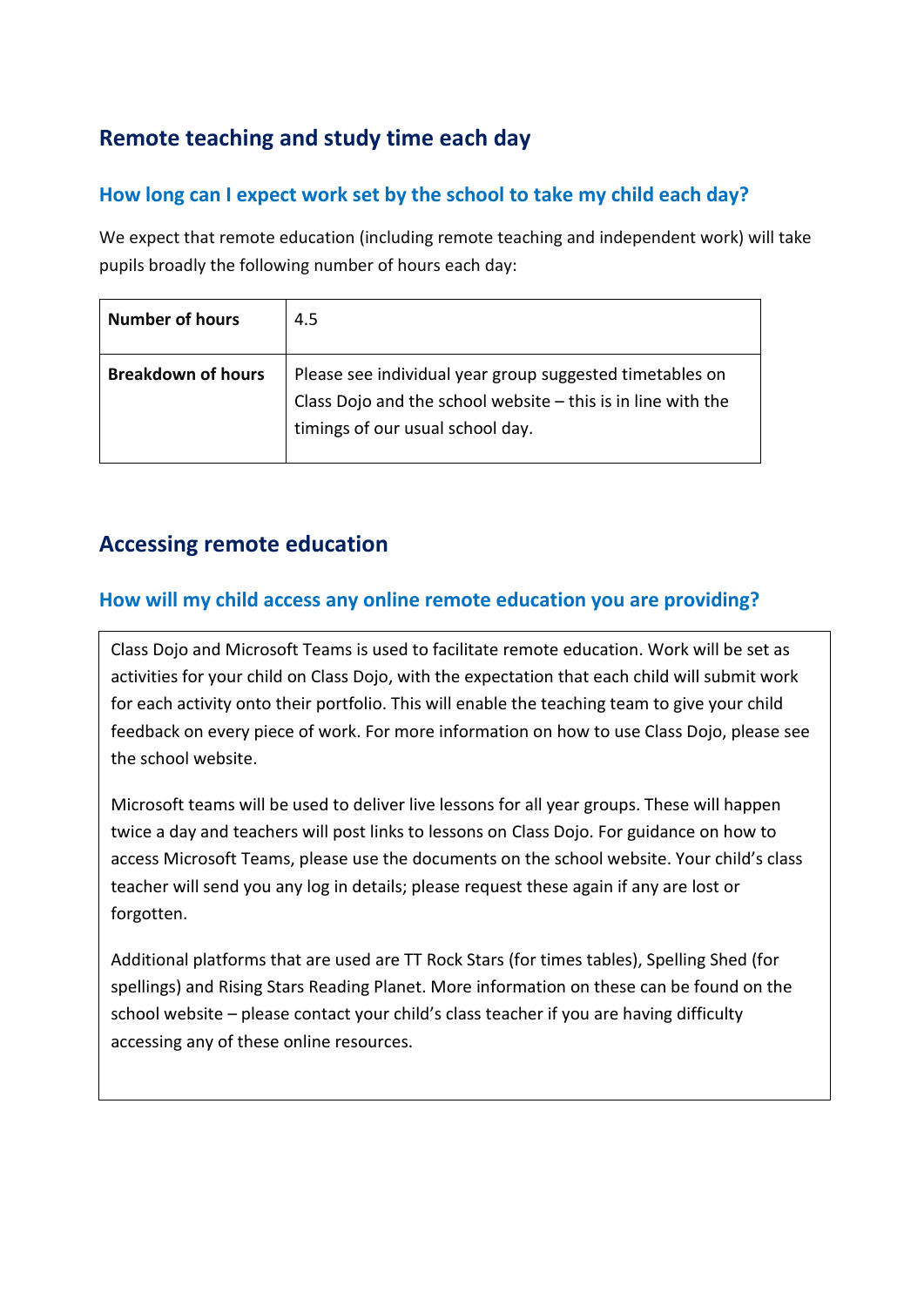# **Remote teaching and study time each day**

#### **How long can I expect work set by the school to take my child each day?**

We expect that remote education (including remote teaching and independent work) will take pupils broadly the following number of hours each day:

| <b>Number of hours</b>    | 4.5                                                                                                                                                            |
|---------------------------|----------------------------------------------------------------------------------------------------------------------------------------------------------------|
| <b>Breakdown of hours</b> | Please see individual year group suggested timetables on<br>Class Dojo and the school website $-$ this is in line with the<br>timings of our usual school day. |

# **Accessing remote education**

#### **How will my child access any online remote education you are providing?**

Class Dojo and Microsoft Teams is used to facilitate remote education. Work will be set as activities for your child on Class Dojo, with the expectation that each child will submit work for each activity onto their portfolio. This will enable the teaching team to give your child feedback on every piece of work. For more information on how to use Class Dojo, please see the school website.

Microsoft teams will be used to deliver live lessons for all year groups. These will happen twice a day and teachers will post links to lessons on Class Dojo. For guidance on how to access Microsoft Teams, please use the documents on the school website. Your child's class teacher will send you any log in details; please request these again if any are lost or forgotten.

Additional platforms that are used are TT Rock Stars (for times tables), Spelling Shed (for spellings) and Rising Stars Reading Planet. More information on these can be found on the school website – please contact your child's class teacher if you are having difficulty accessing any of these online resources.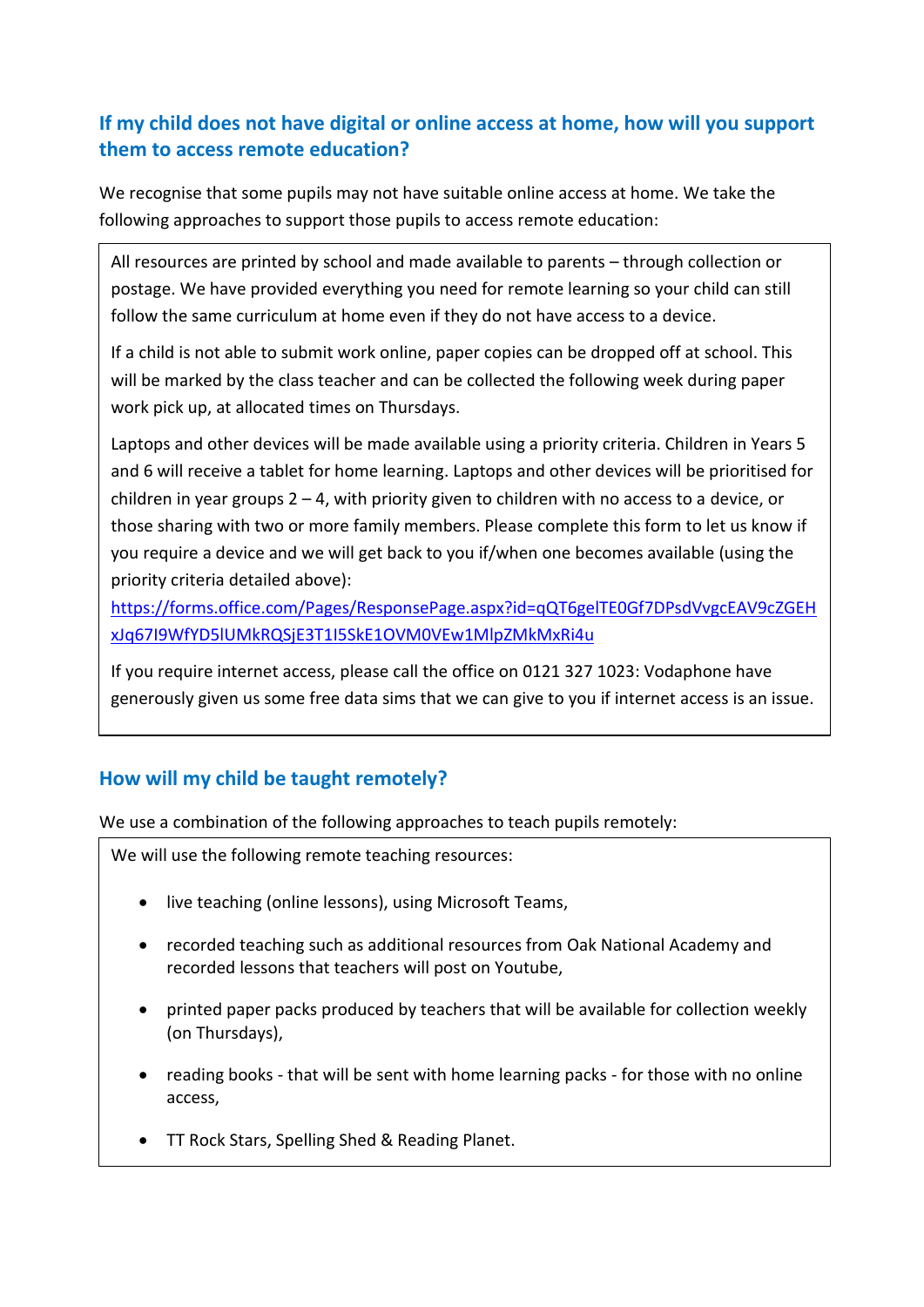### **If my child does not have digital or online access at home, how will you support them to access remote education?**

We recognise that some pupils may not have suitable online access at home. We take the following approaches to support those pupils to access remote education:

All resources are printed by school and made available to parents – through collection or postage. We have provided everything you need for remote learning so your child can still follow the same curriculum at home even if they do not have access to a device.

If a child is not able to submit work online, paper copies can be dropped off at school. This will be marked by the class teacher and can be collected the following week during paper work pick up, at allocated times on Thursdays.

Laptops and other devices will be made available using a priority criteria. Children in Years 5 and 6 will receive a tablet for home learning. Laptops and other devices will be prioritised for children in year groups 2 – 4, with priority given to children with no access to a device, or those sharing with two or more family members. Please complete this form to let us know if you require a device and we will get back to you if/when one becomes available (using the priority criteria detailed above):

[https://forms.office.com/Pages/ResponsePage.aspx?id=qQT6gelTE0Gf7DPsdVvgcEAV9cZGEH](https://forms.office.com/Pages/ResponsePage.aspx?id=qQT6gelTE0Gf7DPsdVvgcEAV9cZGEHxJq67I9WfYD5lUMkRQSjE3T1I5SkE1OVM0VEw1MlpZMkMxRi4u) [xJq67I9WfYD5lUMkRQSjE3T1I5SkE1OVM0VEw1MlpZMkMxRi4u](https://forms.office.com/Pages/ResponsePage.aspx?id=qQT6gelTE0Gf7DPsdVvgcEAV9cZGEHxJq67I9WfYD5lUMkRQSjE3T1I5SkE1OVM0VEw1MlpZMkMxRi4u)

If you require internet access, please call the office on 0121 327 1023: Vodaphone have generously given us some free data sims that we can give to you if internet access is an issue.

### **How will my child be taught remotely?**

We use a combination of the following approaches to teach pupils remotely:

We will use the following remote teaching resources:

- live teaching (online lessons), using Microsoft Teams,
- recorded teaching such as additional resources from Oak National Academy and recorded lessons that teachers will post on Youtube,
- printed paper packs produced by teachers that will be available for collection weekly (on Thursdays),
- reading books that will be sent with home learning packs for those with no online access,
- TT Rock Stars, Spelling Shed & Reading Planet.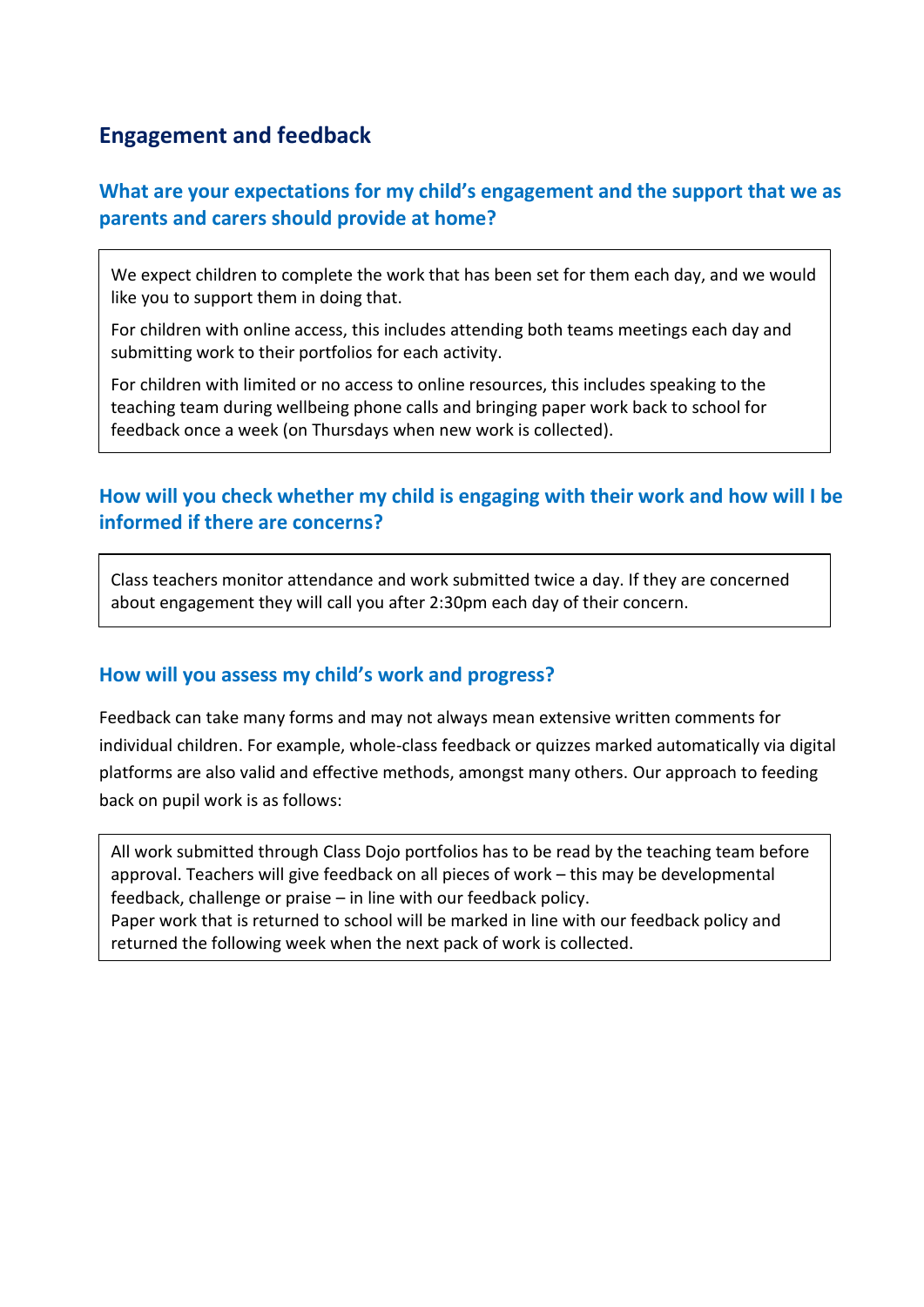# **Engagement and feedback**

#### **What are your expectations for my child's engagement and the support that we as parents and carers should provide at home?**

We expect children to complete the work that has been set for them each day, and we would like you to support them in doing that.

For children with online access, this includes attending both teams meetings each day and submitting work to their portfolios for each activity.

For children with limited or no access to online resources, this includes speaking to the teaching team during wellbeing phone calls and bringing paper work back to school for feedback once a week (on Thursdays when new work is collected).

#### **How will you check whether my child is engaging with their work and how will I be informed if there are concerns?**

Class teachers monitor attendance and work submitted twice a day. If they are concerned about engagement they will call you after 2:30pm each day of their concern.

#### **How will you assess my child's work and progress?**

Feedback can take many forms and may not always mean extensive written comments for individual children. For example, whole-class feedback or quizzes marked automatically via digital platforms are also valid and effective methods, amongst many others. Our approach to feeding back on pupil work is as follows:

All work submitted through Class Dojo portfolios has to be read by the teaching team before approval. Teachers will give feedback on all pieces of work – this may be developmental feedback, challenge or praise – in line with our feedback policy. Paper work that is returned to school will be marked in line with our feedback policy and returned the following week when the next pack of work is collected.